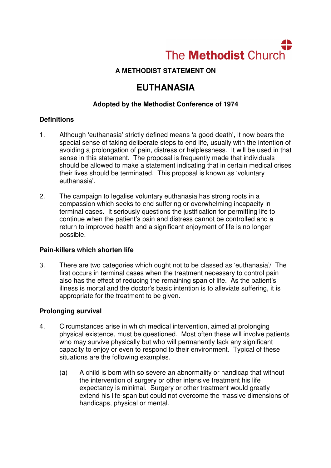

## **A METHODIST STATEMENT ON**

# **EUTHANASIA**

## **Adopted by the Methodist Conference of 1974**

### **Definitions**

- 1. Although 'euthanasia' strictly defined means 'a good death', it now bears the special sense of taking deliberate steps to end life, usually with the intention of avoiding a prolongation of pain, distress or helplessness. It will be used in that sense in this statement. The proposal is frequently made that individuals should be allowed to make a statement indicating that in certain medical crises their lives should be terminated. This proposal is known as 'voluntary euthanasia'.
- 2. The campaign to legalise voluntary euthanasia has strong roots in a compassion which seeks to end suffering or overwhelming incapacity in terminal cases. It seriously questions the justification for permitting life to continue when the patient's pain and distress cannot be controlled and a return to improved health and a significant enjoyment of life is no longer possible.

#### **Pain-killers which shorten life**

3. There are two categories which ought not to be classed as 'euthanasia'/ The first occurs in terminal cases when the treatment necessary to control pain also has the effect of reducing the remaining span of life. As the patient's illness is mortal and the doctor's basic intention is to alleviate suffering, it is appropriate for the treatment to be given.

### **Prolonging survival**

- 4. Circumstances arise in which medical intervention, aimed at prolonging physical existence, must be questioned. Most often these will involve patients who may survive physically but who will permanently lack any significant capacity to enjoy or even to respond to their environment. Typical of these situations are the following examples.
	- (a) A child is born with so severe an abnormality or handicap that without the intervention of surgery or other intensive treatment his life expectancy is minimal. Surgery or other treatment would greatly extend his life-span but could not overcome the massive dimensions of handicaps, physical or mental.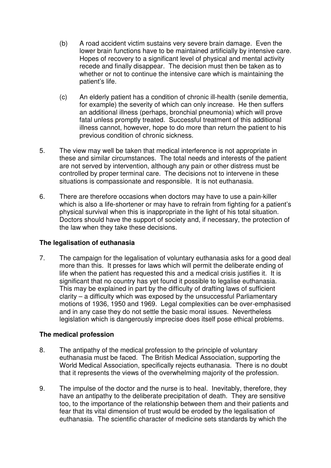- (b) A road accident victim sustains very severe brain damage. Even the lower brain functions have to be maintained artificially by intensive care. Hopes of recovery to a significant level of physical and mental activity recede and finally disappear. The decision must then be taken as to whether or not to continue the intensive care which is maintaining the patient's life.
- (c) An elderly patient has a condition of chronic ill-health (senile dementia, for example) the severity of which can only increase. He then suffers an additional illness (perhaps, bronchial pneumonia) which will prove fatal unless promptly treated. Successful treatment of this additional illness cannot, however, hope to do more than return the patient to his previous condition of chronic sickness.
- 5. The view may well be taken that medical interference is not appropriate in these and similar circumstances. The total needs and interests of the patient are not served by intervention, although any pain or other distress must be controlled by proper terminal care. The decisions not to intervene in these situations is compassionate and responsible. It is not euthanasia.
- 6. There are therefore occasions when doctors may have to use a pain-killer which is also a life-shortener or may have to refrain from fighting for a patient's physical survival when this is inappropriate in the light of his total situation. Doctors should have the support of society and, if necessary, the protection of the law when they take these decisions.

### **The legalisation of euthanasia**

7. The campaign for the legalisation of voluntary euthanasia asks for a good deal more than this. It presses for laws which will permit the deliberate ending of life when the patient has requested this and a medical crisis justifies it. It is significant that no country has yet found it possible to legalise euthanasia. This may be explained in part by the difficulty of drafting laws of sufficient clarity – a difficulty which was exposed by the unsuccessful Parliamentary motions of 1936, 1950 and 1969. Legal complexities can be over-emphasised and in any case they do not settle the basic moral issues. Nevertheless legislation which is dangerously imprecise does itself pose ethical problems.

### **The medical profession**

- 8. The antipathy of the medical profession to the principle of voluntary euthanasia must be faced. The British Medical Association, supporting the World Medical Association, specifically rejects euthanasia. There is no doubt that it represents the views of the overwhelming majority of the profession.
- 9. The impulse of the doctor and the nurse is to heal. Inevitably, therefore, they have an antipathy to the deliberate precipitation of death. They are sensitive too, to the importance of the relationship between them and their patients and fear that its vital dimension of trust would be eroded by the legalisation of euthanasia. The scientific character of medicine sets standards by which the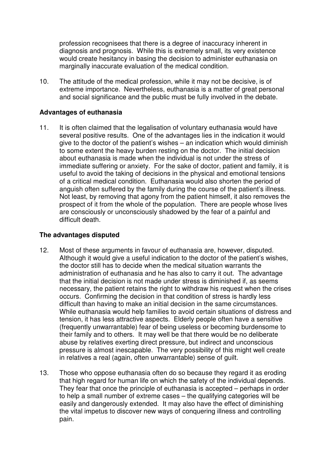profession recognisees that there is a degree of inaccuracy inherent in diagnosis and prognosis. While this is extremely small, its very existence would create hesitancy in basing the decision to administer euthanasia on marginally inaccurate evaluation of the medical condition.

10. The attitude of the medical profession, while it may not be decisive, is of extreme importance. Nevertheless, euthanasia is a matter of great personal and social significance and the public must be fully involved in the debate.

#### **Advantages of euthanasia**

11. It is often claimed that the legalisation of voluntary euthanasia would have several positive results. One of the advantages lies in the indication it would give to the doctor of the patient's wishes – an indication which would diminish to some extent the heavy burden resting on the doctor. The initial decision about euthanasia is made when the individual is not under the stress of immediate suffering or anxiety. For the sake of doctor, patient and family, it is useful to avoid the taking of decisions in the physical and emotional tensions of a critical medical condition. Euthanasia would also shorten the period of anguish often suffered by the family during the course of the patient's illness. Not least, by removing that agony from the patient himself, it also removes the prospect of it from the whole of the population. There are people whose lives are consciously or unconsciously shadowed by the fear of a painful and difficult death.

#### **The advantages disputed**

- 12. Most of these arguments in favour of euthanasia are, however, disputed. Although it would give a useful indication to the doctor of the patient's wishes, the doctor still has to decide when the medical situation warrants the administration of euthanasia and he has also to carry it out. The advantage that the initial decision is not made under stress is diminished if, as seems necessary, the patient retains the right to withdraw his request when the crises occurs. Confirming the decision in that condition of stress is hardly less difficult than having to make an initial decision in the same circumstances. While euthanasia would help families to avoid certain situations of distress and tension, it has less attractive aspects. Elderly people often have a sensitive (frequently unwarrantable) fear of being useless or becoming burdensome to their family and to others. It may well be that there would be no deliberate abuse by relatives exerting direct pressure, but indirect and unconscious pressure is almost inescapable. The very possibility of this might well create in relatives a real (again, often unwarrantable) sense of guilt.
- 13. Those who oppose euthanasia often do so because they regard it as eroding that high regard for human life on which the safety of the individual depends. They fear that once the principle of euthanasia is accepted – perhaps in order to help a small number of extreme cases – the qualifying categories will be easily and dangerously extended. It may also have the effect of diminishing the vital impetus to discover new ways of conquering illness and controlling pain.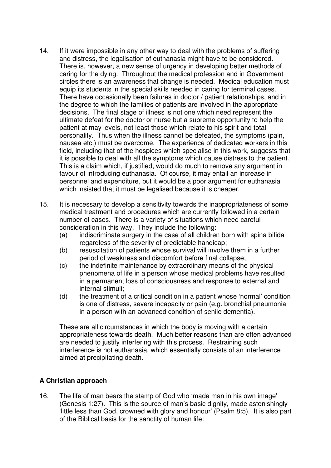- 14. If it were impossible in any other way to deal with the problems of suffering and distress, the legalisation of euthanasia might have to be considered. There is, however, a new sense of urgency in developing better methods of caring for the dying. Throughout the medical profession and in Government circles there is an awareness that change is needed. Medical education must equip its students in the special skills needed in caring for terminal cases. There have occasionally been failures in doctor / patient relationships, and in the degree to which the families of patients are involved in the appropriate decisions. The final stage of illness is not one which need represent the ultimate defeat for the doctor or nurse but a supreme opportunity to help the patient at may levels, not least those which relate to his spirit and total personality. Thus when the illness cannot be defeated, the symptoms (pain, nausea etc.) must be overcome. The experience of dedicated workers in this field, including that of the hospices which specialise in this work, suggests that it is possible to deal with all the symptoms which cause distress to the patient. This is a claim which, if justified, would do much to remove any argument in favour of introducing euthanasia. Of course, it may entail an increase in personnel and expenditure, but it would be a poor argument for euthanasia which insisted that it must be legalised because it is cheaper.
- 15. It is necessary to develop a sensitivity towards the inappropriateness of some medical treatment and procedures which are currently followed in a certain number of cases. There is a variety of situations which need careful consideration in this way. They include the following:
	- (a) indiscriminate surgery in the case of all children born with spina bifida regardless of the severity of predictable handicap;
	- (b) resuscitation of patients whose survival will involve them in a further period of weakness and discomfort before final collapse;
	- (c) the indefinite maintenance by extraordinary means of the physical phenomena of life in a person whose medical problems have resulted in a permanent loss of consciousness and response to external and internal stimuli;
	- (d) the treatment of a critical condition in a patient whose 'normal' condition is one of distress, severe incapacity or pain (e.g. bronchial pneumonia in a person with an advanced condition of senile dementia).

These are all circumstances in which the body is moving with a certain appropriateness towards death. Much better reasons than are often advanced are needed to justify interfering with this process. Restraining such interference is not euthanasia, which essentially consists of an interference aimed at precipitating death.

### **A Christian approach**

16. The life of man bears the stamp of God who 'made man in his own image' (Genesis 1:27). This is the source of man's basic dignity, made astonishingly 'little less than God, crowned with glory and honour' (Psalm 8:5). It is also part of the Biblical basis for the sanctity of human life: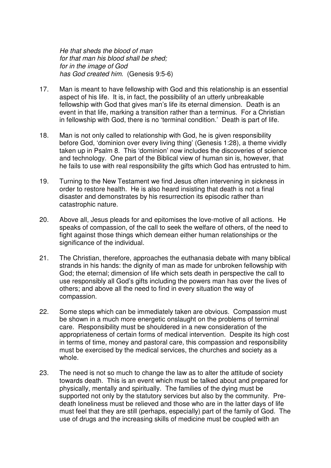He that sheds the blood of man for that man his blood shall be shed; for in the image of God has God created him. (Genesis 9:5-6)

- 17. Man is meant to have fellowship with God and this relationship is an essential aspect of his life. It is, in fact, the possibility of an utterly unbreakable fellowship with God that gives man's life its eternal dimension. Death is an event in that life, marking a transition rather than a terminus. For a Christian in fellowship with God, there is no 'terminal condition.' Death is part of life.
- 18. Man is not only called to relationship with God, he is given responsibility before God, 'dominion over every living thing' (Genesis 1:28), a theme vividly taken up in Psalm 8. This 'dominion' now includes the discoveries of science and technology. One part of the Biblical view of human sin is, however, that he fails to use with real responsibility the gifts which God has entrusted to him.
- 19. Turning to the New Testament we find Jesus often intervening in sickness in order to restore health. He is also heard insisting that death is not a final disaster and demonstrates by his resurrection its episodic rather than catastrophic nature.
- 20. Above all, Jesus pleads for and epitomises the love-motive of all actions. He speaks of compassion, of the call to seek the welfare of others, of the need to fight against those things which demean either human relationships or the significance of the individual.
- 21. The Christian, therefore, approaches the euthanasia debate with many biblical strands in his hands: the dignity of man as made for unbroken fellowship with God; the eternal; dimension of life which sets death in perspective the call to use responsibly all God's gifts including the powers man has over the lives of others; and above all the need to find in every situation the way of compassion.
- 22. Some steps which can be immediately taken are obvious. Compassion must be shown in a much more energetic onslaught on the problems of terminal care. Responsibility must be shouldered in a new consideration of the appropriateness of certain forms of medical intervention. Despite its high cost in terms of time, money and pastoral care, this compassion and responsibility must be exercised by the medical services, the churches and society as a whole.
- 23. The need is not so much to change the law as to alter the attitude of society towards death. This is an event which must be talked about and prepared for physically, mentally and spiritually. The families of the dying must be supported not only by the statutory services but also by the community. Predeath loneliness must be relieved and those who are in the latter days of life must feel that they are still (perhaps, especially) part of the family of God. The use of drugs and the increasing skills of medicine must be coupled with an